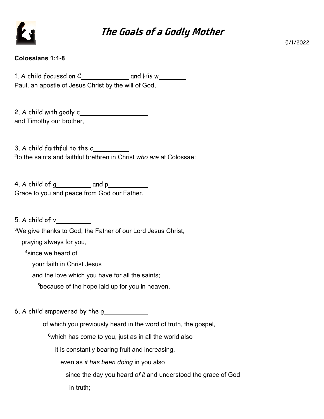

## **The Goals of a Godly Mother**

5/1/2022

## **Colossians 1:1-8**

1. A child focused on  $C_$  and His w Paul, an apostle of Jesus Christ by the will of God,

2. A child with godly c and Timothy our brother,

3. A child faithful to the c 2 to the saints and faithful brethren in Christ *who are* at Colossae:

4. A child of  $g_1$  and  $p_2$  and  $p_3$ Grace to you and peace from God our Father.

5. A child of v

<sup>3</sup>We give thanks to God, the Father of our Lord Jesus Christ,

praying always for you,

<sup>4</sup>since we heard of

your faith in Christ Jesus

and the love which you have for all the saints;

<sup>5</sup>because of the hope laid up for you in heaven,

6. A child empowered by the g

of which you previously heard in the word of truth, the gospel,

 $6$ which has come to you, just as in all the world also

it is constantly bearing fruit and increasing,

even as *it has been doing* in you also

 since the day you heard *of it* and understood the grace of God in truth;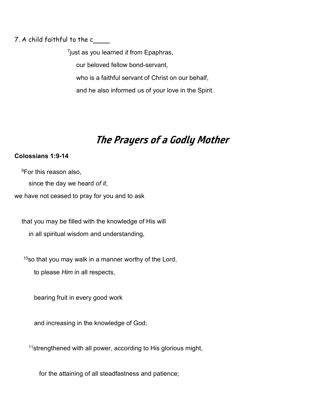7. A child faithful to the c

7 just as you learned *it* from Epaphras, our beloved fellow bond-servant, who is a faithful servant of Christ on our behalf, and he also informed us of your love in the Spirit.

## **The Prayers of a Godly Mother**

## **Colossians 1:9-14**

<sup>9</sup>For this reason also, since the day we heard *of it*, we have not ceased to pray for you and to ask

 that you may be filled with the knowledge of His will in all spiritual wisdom and understanding,

 $10$ so that you may walk in a manner worthy of the Lord,

to please *Him* in all respects,

bearing fruit in every good work

and increasing in the knowledge of God;

<sup>11</sup>strengthened with all power, according to His glorious might,

for the attaining of all steadfastness and patience;